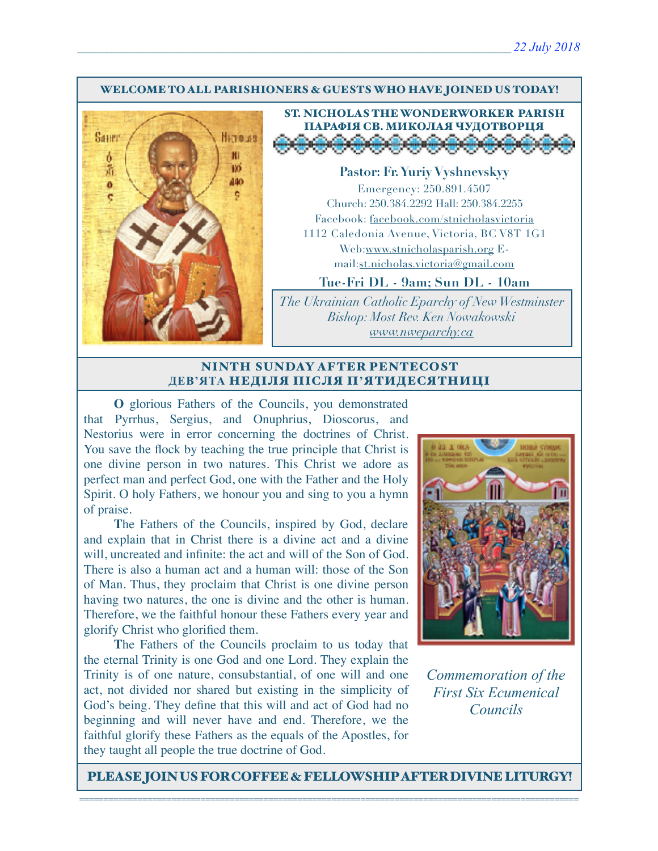#### WELCOME TO ALL PARISHIONERS & GUESTS WHO HAVE JOINED US TODAY!



## ST. NICHOLAS THE WONDERWORKER PARISH ПАРАФІЯ СВ. МИКОЛАЯ ЧУДОТВОРЦЯ <u>, a a a a a a a a a</u>

**Pastor: Fr. Yuriy Vyshnevskyy** Emergency: 250.891.4507 Church: 250.384.2292 Hall: 250.384.2255 Facebook: facebook.com/stnicholasvictoria 1112 Caledonia Avenue, Victoria, BC V8T 1G1 Web[:www.stnicholasparish.org](http://www.stnicholasparish.org) Email:[st.nicholas.victoria@gmail.com](mailto:st.nicholas.victoria@gmail.com)

**Tue-Fri DL - 9am; Sun DL - 10am**

*The Ukrainian Catholic Eparchy of New Westminster Bishop: Most Rev. Ken Nowakowski [www.nweparchy.ca](http://www.nweparchy.ca)*

### NINTH SUNDAY AFTER PENTECOST **ДЕВ'ЯТА** НЕДІЛЯ ПІСЛЯ П**'**ЯТИДЕСЯТНИЦІ

**O** glorious Fathers of the Councils, you demonstrated that Pyrrhus, Sergius, and Onuphrius, Dioscorus, and Nestorius were in error concerning the doctrines of Christ. You save the flock by teaching the true principle that Christ is one divine person in two natures. This Christ we adore as perfect man and perfect God, one with the Father and the Holy Spirit. O holy Fathers, we honour you and sing to you a hymn of praise.

**T**he Fathers of the Councils, inspired by God, declare and explain that in Christ there is a divine act and a divine will, uncreated and infinite: the act and will of the Son of God. There is also a human act and a human will: those of the Son of Man. Thus, they proclaim that Christ is one divine person having two natures, the one is divine and the other is human. Therefore, we the faithful honour these Fathers every year and glorify Christ who glorified them.

**T**he Fathers of the Councils proclaim to us today that the eternal Trinity is one God and one Lord. They explain the Trinity is of one nature, consubstantial, of one will and one act, not divided nor shared but existing in the simplicity of God's being. They define that this will and act of God had no beginning and will never have and end. Therefore, we the faithful glorify these Fathers as the equals of the Apostles, for they taught all people the true doctrine of God.



*Commemoration of the First Six Ecumenical Councils*

PLEASE JOIN US FOR COFFEE & FELLOWSHIP AFTER DIVINE LITURGY!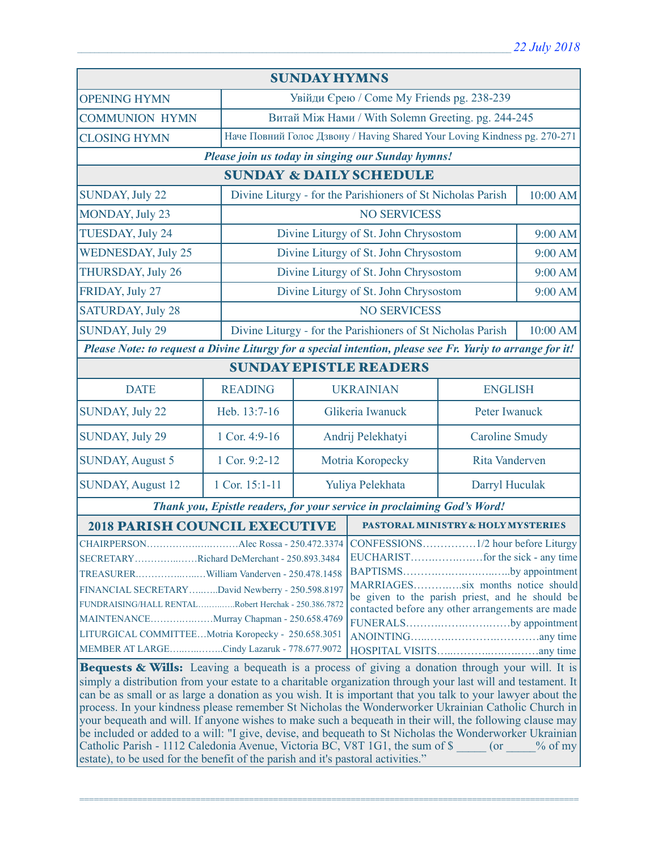| <b>SUNDAY HYMNS</b>                                                                                                                                                                                                                                                                                                                                                                                                                                                                                                                                                                                                                                                                                                                                                                                                                         |                |                                                                           |                                                             |                                       |               |  |
|---------------------------------------------------------------------------------------------------------------------------------------------------------------------------------------------------------------------------------------------------------------------------------------------------------------------------------------------------------------------------------------------------------------------------------------------------------------------------------------------------------------------------------------------------------------------------------------------------------------------------------------------------------------------------------------------------------------------------------------------------------------------------------------------------------------------------------------------|----------------|---------------------------------------------------------------------------|-------------------------------------------------------------|---------------------------------------|---------------|--|
| <b>OPENING HYMN</b>                                                                                                                                                                                                                                                                                                                                                                                                                                                                                                                                                                                                                                                                                                                                                                                                                         |                |                                                                           | Увійди Єрею / Come My Friends pg. 238-239                   |                                       |               |  |
| <b>COMMUNION HYMN</b>                                                                                                                                                                                                                                                                                                                                                                                                                                                                                                                                                                                                                                                                                                                                                                                                                       |                |                                                                           | Витай Між Нами / With Solemn Greeting. pg. 244-245          |                                       |               |  |
| <b>CLOSING HYMN</b>                                                                                                                                                                                                                                                                                                                                                                                                                                                                                                                                                                                                                                                                                                                                                                                                                         |                | Наче Повний Голос Дзвону / Having Shared Your Loving Kindness pg. 270-271 |                                                             |                                       |               |  |
| Please join us today in singing our Sunday hymns!                                                                                                                                                                                                                                                                                                                                                                                                                                                                                                                                                                                                                                                                                                                                                                                           |                |                                                                           |                                                             |                                       |               |  |
| <b>SUNDAY &amp; DAILY SCHEDULE</b>                                                                                                                                                                                                                                                                                                                                                                                                                                                                                                                                                                                                                                                                                                                                                                                                          |                |                                                                           |                                                             |                                       |               |  |
| <b>SUNDAY, July 22</b>                                                                                                                                                                                                                                                                                                                                                                                                                                                                                                                                                                                                                                                                                                                                                                                                                      |                |                                                                           | Divine Liturgy - for the Parishioners of St Nicholas Parish |                                       | 10:00 AM      |  |
| MONDAY, July 23                                                                                                                                                                                                                                                                                                                                                                                                                                                                                                                                                                                                                                                                                                                                                                                                                             |                | <b>NO SERVICESS</b>                                                       |                                                             |                                       |               |  |
| TUESDAY, July 24                                                                                                                                                                                                                                                                                                                                                                                                                                                                                                                                                                                                                                                                                                                                                                                                                            |                | Divine Liturgy of St. John Chrysostom                                     |                                                             |                                       | 9:00 AM       |  |
| <b>WEDNESDAY, July 25</b>                                                                                                                                                                                                                                                                                                                                                                                                                                                                                                                                                                                                                                                                                                                                                                                                                   |                |                                                                           | Divine Liturgy of St. John Chrysostom                       |                                       | 9:00 AM       |  |
| THURSDAY, July 26                                                                                                                                                                                                                                                                                                                                                                                                                                                                                                                                                                                                                                                                                                                                                                                                                           |                |                                                                           | Divine Liturgy of St. John Chrysostom                       |                                       | 9:00 AM       |  |
| FRIDAY, July 27                                                                                                                                                                                                                                                                                                                                                                                                                                                                                                                                                                                                                                                                                                                                                                                                                             |                |                                                                           |                                                             | Divine Liturgy of St. John Chrysostom |               |  |
| <b>SATURDAY, July 28</b>                                                                                                                                                                                                                                                                                                                                                                                                                                                                                                                                                                                                                                                                                                                                                                                                                    |                | <b>NO SERVICESS</b>                                                       |                                                             |                                       |               |  |
| <b>SUNDAY, July 29</b>                                                                                                                                                                                                                                                                                                                                                                                                                                                                                                                                                                                                                                                                                                                                                                                                                      |                | Divine Liturgy - for the Parishioners of St Nicholas Parish<br>10:00 AM   |                                                             |                                       |               |  |
| Please Note: to request a Divine Liturgy for a special intention, please see Fr. Yuriy to arrange for it!                                                                                                                                                                                                                                                                                                                                                                                                                                                                                                                                                                                                                                                                                                                                   |                |                                                                           |                                                             |                                       |               |  |
| <b>SUNDAY EPISTLE READERS</b>                                                                                                                                                                                                                                                                                                                                                                                                                                                                                                                                                                                                                                                                                                                                                                                                               |                |                                                                           |                                                             |                                       |               |  |
| <b>DATE</b>                                                                                                                                                                                                                                                                                                                                                                                                                                                                                                                                                                                                                                                                                                                                                                                                                                 | <b>READING</b> |                                                                           | <b>UKRAINIAN</b>                                            | <b>ENGLISH</b>                        |               |  |
| <b>SUNDAY, July 22</b>                                                                                                                                                                                                                                                                                                                                                                                                                                                                                                                                                                                                                                                                                                                                                                                                                      | Heb. 13:7-16   | Glikeria Iwanuck                                                          |                                                             |                                       | Peter Iwanuck |  |
| <b>SUNDAY, July 29</b>                                                                                                                                                                                                                                                                                                                                                                                                                                                                                                                                                                                                                                                                                                                                                                                                                      | 1 Cor. 4:9-16  | Andrij Pelekhatyi                                                         |                                                             | <b>Caroline Smudy</b>                 |               |  |
| <b>SUNDAY, August 5</b>                                                                                                                                                                                                                                                                                                                                                                                                                                                                                                                                                                                                                                                                                                                                                                                                                     | 1 Cor. 9:2-12  | Motria Koropecky                                                          |                                                             | <b>Rita Vanderven</b>                 |               |  |
| <b>SUNDAY, August 12</b>                                                                                                                                                                                                                                                                                                                                                                                                                                                                                                                                                                                                                                                                                                                                                                                                                    | 1 Cor. 15:1-11 | Yuliya Pelekhata                                                          |                                                             | Darryl Huculak                        |               |  |
| Thank you, Epistle readers, for your service in proclaiming God's Word!                                                                                                                                                                                                                                                                                                                                                                                                                                                                                                                                                                                                                                                                                                                                                                     |                |                                                                           |                                                             |                                       |               |  |
| <b>2018 PARISH COUNCIL EXECUTIVE</b>                                                                                                                                                                                                                                                                                                                                                                                                                                                                                                                                                                                                                                                                                                                                                                                                        |                |                                                                           | PASTORAL MINISTRY & HOLY MYSTERIES                          |                                       |               |  |
| SECRETARYRichard DeMerchant - 250.893.3484<br>BAPTISMSby appointment<br>MARRIAGESsix months notice should<br>FINANCIAL SECRETARYDavid Newberry - 250.598.8197<br>be given to the parish priest, and he should be<br>FUNDRAISING/HALL RENTALRobert Herchak - 250.386.7872<br>contacted before any other arrangements are made<br>MAINTENANCEMurray Chapman - 250.658.4769<br>FUNERALSby appointment<br>LITURGICAL COMMITTEEMotria Koropecky - 250.658.3051<br>MEMBER AT LARGECindy Lazaruk - 778.677.9072                                                                                                                                                                                                                                                                                                                                    |                |                                                                           |                                                             |                                       |               |  |
| Bequests & Wills: Leaving a bequeath is a process of giving a donation through your will. It is<br>simply a distribution from your estate to a charitable organization through your last will and testament. It<br>can be as small or as large a donation as you wish. It is important that you talk to your lawyer about the<br>process. In your kindness please remember St Nicholas the Wonderworker Ukrainian Catholic Church in<br>your bequeath and will. If anyone wishes to make such a bequeath in their will, the following clause may<br>be included or added to a will: "I give, devise, and bequeath to St Nicholas the Wonderworker Ukrainian<br>Catholic Parish - 1112 Caledonia Avenue, Victoria BC, V8T 1G1, the sum of \$ (or % of my<br>estate), to be used for the benefit of the parish and it's pastoral activities." |                |                                                                           |                                                             |                                       |               |  |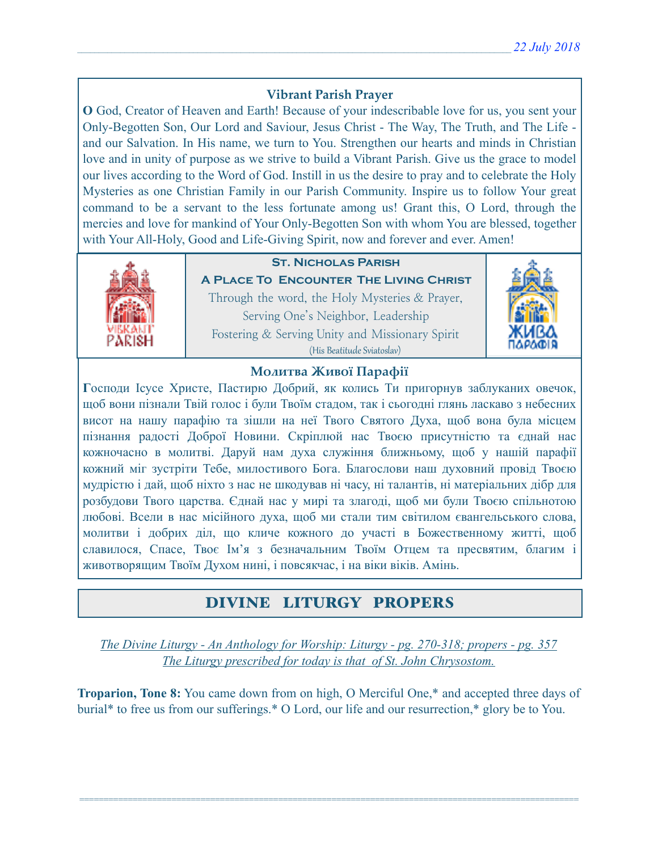# **Vibrant Parish Prayer**

**O** God, Creator of Heaven and Earth! Because of your indescribable love for us, you sent your Only-Begotten Son, Our Lord and Saviour, Jesus Christ - The Way, The Truth, and The Life and our Salvation. In His name, we turn to You. Strengthen our hearts and minds in Christian love and in unity of purpose as we strive to build a Vibrant Parish. Give us the grace to model our lives according to the Word of God. Instill in us the desire to pray and to celebrate the Holy Mysteries as one Christian Family in our Parish Community. Inspire us to follow Your great command to be a servant to the less fortunate among us! Grant this, O Lord, through the mercies and love for mankind of Your Only-Begotten Son with whom You are blessed, together with Your All-Holy, Good and Life-Giving Spirit, now and forever and ever. Amen!



# **St. Nicholas Parish**

**A Place To Encounter The Living Christ** Through the word, the Holy Mysteries & Prayer, Serving One's Neighbor, Leadership Fostering & Serving Unity and Missionary Spirit (His Beatitude Sviatoslav)



## **Молитва Живої Парафії**

**Г**осподи Ісусе Христе, Пастирю Добрий, як колись Ти пригорнув заблуканих овечок, щоб вони пізнали Твій голос і були Твоїм стадом, так і сьогодні глянь ласкаво з небесних висот на нашу парафію та зішли на неї Твого Святого Духа, щоб вона була місцем пізнання радості Доброї Новини. Скріплюй нас Твоєю присутністю та єднай нас кожночасно в молитві. Даруй нам духа служіння ближньому, щоб у нашій парафії кожний міг зустріти Тебе, милостивого Бога. Благослови наш духовний провід Твоєю мудрістю і дай, щоб ніхто з нас не шкодував ні часу, ні талантів, ні матеріальних дібр для розбудови Твого царства. Єднай нас у мирі та злагоді, щоб ми були Твоєю спільнотою любові. Всели в нас місійного духа, щоб ми стали тим світилом євангельського слова, молитви і добрих діл, що кличе кожного до участі в Божественному житті, щоб славилося, Спасе, Твоє Ім'я з безначальним Твоїм Отцем та пресвятим, благим і животворящим Твоїм Духом нині, і повсякчас, і на віки віків. Амінь.

# DIVINE LITURGY PROPERS

*The Divine Liturgy - An Anthology for Worship: Liturgy - pg. 270-318; propers - pg. 357 The Liturgy prescribed for today is that of St. John Chrysostom.* 

**Troparion, Tone 8:** You came down from on high, O Merciful One,\* and accepted three days of burial\* to free us from our sufferings.\* O Lord, our life and our resurrection,\* glory be to You.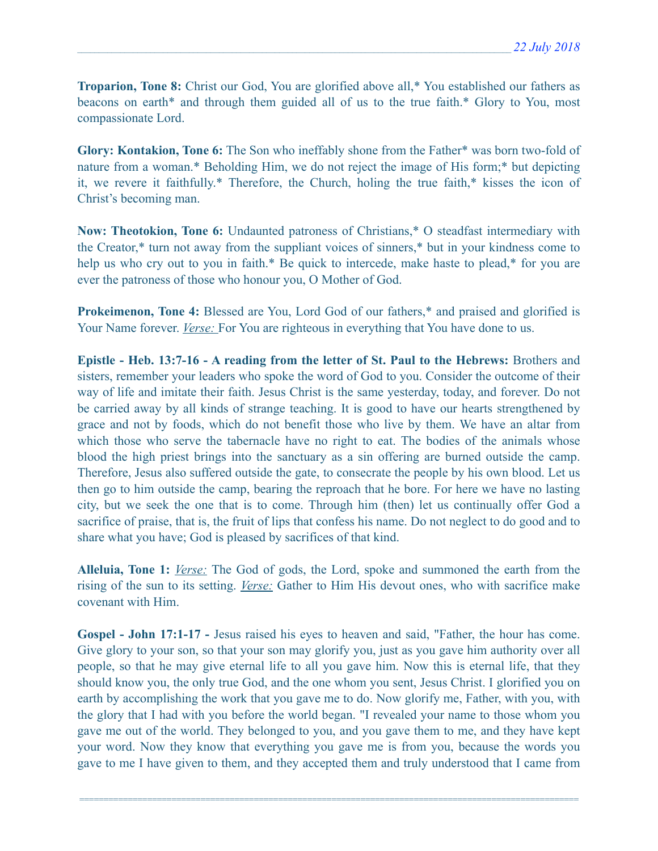**Troparion, Tone 8:** Christ our God, You are glorified above all,\* You established our fathers as beacons on earth\* and through them guided all of us to the true faith.\* Glory to You, most compassionate Lord.

**Glory: Kontakion, Tone 6:** The Son who ineffably shone from the Father\* was born two-fold of nature from a woman.\* Beholding Him, we do not reject the image of His form;\* but depicting it, we revere it faithfully.\* Therefore, the Church, holing the true faith,\* kisses the icon of Christ's becoming man.

**Now: Theotokion, Tone 6:** Undaunted patroness of Christians,\* O steadfast intermediary with the Creator,\* turn not away from the suppliant voices of sinners,\* but in your kindness come to help us who cry out to you in faith.\* Be quick to intercede, make haste to plead,\* for you are ever the patroness of those who honour you, O Mother of God.

**Prokeimenon, Tone 4:** Blessed are You, Lord God of our fathers,<sup>\*</sup> and praised and glorified is Your Name forever. *Verse:* For You are righteous in everything that You have done to us.

**Epistle - Heb. 13:7-16 - A reading from the letter of St. Paul to the Hebrews:** Brothers and sisters, remember your leaders who spoke the word of God to you. Consider the outcome of their way of life and imitate their faith. Jesus Christ is the same yesterday, today, and forever. Do not be carried away by all kinds of strange teaching. It is good to have our hearts strengthened by grace and not by foods, which do not benefit those who live by them. We have an altar from which those who serve the tabernacle have no right to eat. The bodies of the animals whose blood the high priest brings into the sanctuary as a sin offering are burned outside the camp. Therefore, Jesus also suffered outside the gate, to consecrate the people by his own blood. Let us then go to him outside the camp, bearing the reproach that he bore. For here we have no lasting city, but we seek the one that is to come. Through him (then) let us continually offer God a sacrifice of praise, that is, the fruit of lips that confess his name. Do not neglect to do good and to share what you have; God is pleased by sacrifices of that kind.

**Alleluia, Tone 1:** *Verse:* The God of gods, the Lord, spoke and summoned the earth from the rising of the sun to its setting. *Verse:* Gather to Him His devout ones, who with sacrifice make covenant with Him.

**Gospel - John 17:1-17 -** Jesus raised his eyes to heaven and said, "Father, the hour has come. Give glory to your son, so that your son may glorify you, just as you gave him authority over all people, so that he may give eternal life to all you gave him. Now this is eternal life, that they should know you, the only true God, and the one whom you sent, Jesus Christ. I glorified you on earth by accomplishing the work that you gave me to do. Now glorify me, Father, with you, with the glory that I had with you before the world began. "I revealed your name to those whom you gave me out of the world. They belonged to you, and you gave them to me, and they have kept your word. Now they know that everything you gave me is from you, because the words you gave to me I have given to them, and they accepted them and truly understood that I came from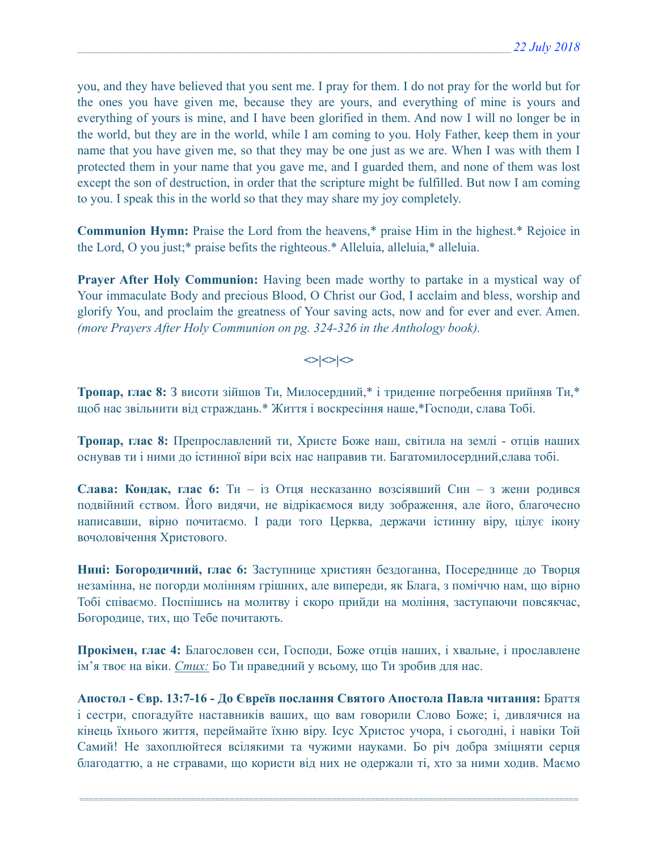you, and they have believed that you sent me. I pray for them. I do not pray for the world but for the ones you have given me, because they are yours, and everything of mine is yours and everything of yours is mine, and I have been glorified in them. And now I will no longer be in the world, but they are in the world, while I am coming to you. Holy Father, keep them in your name that you have given me, so that they may be one just as we are. When I was with them I protected them in your name that you gave me, and I guarded them, and none of them was lost except the son of destruction, in order that the scripture might be fulfilled. But now I am coming to you. I speak this in the world so that they may share my joy completely.

**Communion Hymn:** Praise the Lord from the heavens,\* praise Him in the highest.\* Rejoice in the Lord, O you just;\* praise befits the righteous.\* Alleluia, alleluia,\* alleluia.

**Prayer After Holy Communion:** Having been made worthy to partake in a mystical way of Your immaculate Body and precious Blood, O Christ our God, I acclaim and bless, worship and glorify You, and proclaim the greatness of Your saving acts, now and for ever and ever. Amen. *(more Prayers After Holy Communion on pg. 324-326 in the Anthology book).* 

 $\left| \diamond \right| \diamond \left| \diamond \right|$ 

**Тропар, глас 8:** З висоти зійшов Ти, Милосердний,\* і триденне погребення прийняв Ти,\* щоб нас звільнити від страждань.\* Життя і воскресіння наше,\*Господи, слава Тобі.

**Тропар, глас 8:** Препрославлений ти, Христе Боже наш, світила на землі - отців наших оснував ти і ними до істинної віри всіх нас направив ти. Багатомилосердний,слава тобі.

**Слава: Кондак, глас 6:** Ти – iз Отця несказанно возсіявший Син – з жени родився подвійний єством. Його видячи, не відрікаємося виду зображення, але його, благочесно написавши, вірно почитаємо. І ради того Церква, держачи істинну віру, цілує ікону вочоловічення Христового.

**Нині: Богородичний, глас 6:** Заступнице християн бездоганна, Посереднице до Творця незамінна, не погорди молінням грішних, але випереди, як Блага, з поміччю нам, що вірно Тобі співаємо. Поспішись на молитву і скоро прийди на моління, заступаючи повсякчас, Богородице, тих, що Тебе почитають.

**Прокімен, глас 4:** Благословен єси, Господи, Боже отців наших, і хвальне, і прославлене ім'я твоє на віки. *Стих:* Бо Ти праведний у всьому, що Ти зробив для нас.

**Апостол - Євр. 13:7-16 - До Євреїв послання Святого Апостола Павла читання:** Браття і сестри, спогадуйте наставників ваших, що вам говорили Слово Боже; і, дивлячися на кінець їхнього життя, переймайте їхню віру. Ісус Христос учора, і сьогодні, і навіки Той Самий! Не захоплюйтеся всілякими та чужими науками. Бо річ добра зміцняти серця благодаттю, а не стравами, що користи від них не одержали ті, хто за ними ходив. Маємо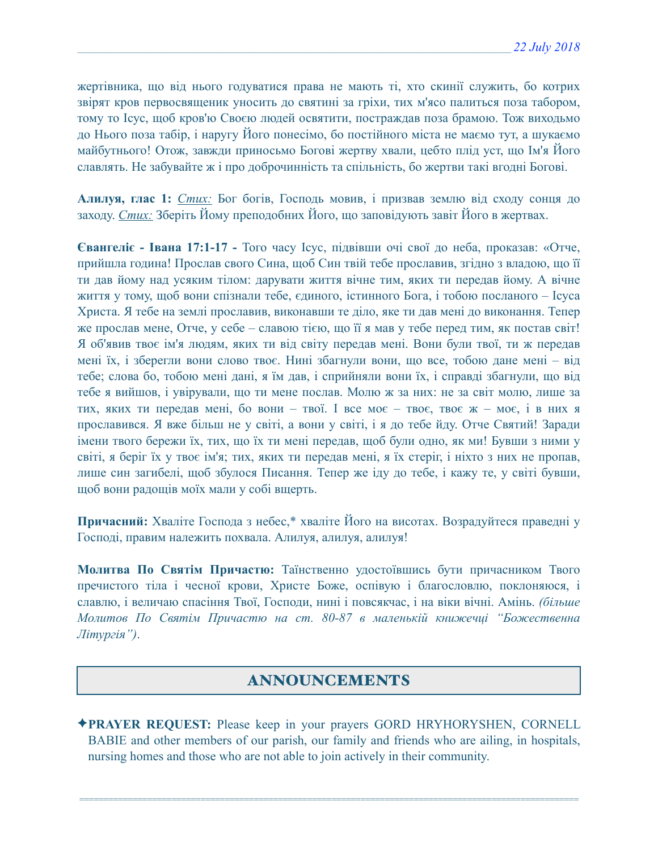жертівника, що від нього годуватися права не мають ті, хто скинії служить, бо котрих звірят кров первосвященик уносить до святині за гріхи, тих м'ясо палиться поза табором, тому то Ісус, щоб кров'ю Своєю людей освятити, постраждав поза брамою. Тож виходьмо до Нього поза табір, і наругу Його понесімо, бо постійного міста не маємо тут, а шукаємо майбутнього! Отож, завжди приносьмо Богові жертву хвали, цебто плід уст, що Ім'я Його славлять. Не забувайте ж і про доброчинність та спільність, бо жертви такі вгодні Богові.

**Алилуя, глас 1:** *Стих:* Бог богів, Господь мовив, і призвав землю від сходу сонця до заходу. *Стих:* Зберіть Йому преподобних Його, що заповідують завіт Його в жертвах.

**Євангеліє - Івана 17:1-17 -** Того часу Ісус, підвівши очі свої до неба, проказав: «Отче, прийшла година! Прослав свого Сина, щоб Син твій тебе прославив, згідно з владою, що її ти дав йому над усяким тілом: дарувати життя вічне тим, яких ти передав йому. А вічне життя у тому, щоб вони спізнали тебе, єдиного, істинного Бога, і тобою посланого – Ісуса Христа. Я тебе на землі прославив, виконавши те діло, яке ти дав мені до виконання. Тепер же прослав мене, Отче, у себе – славою тією, що її я мав у тебе перед тим, як постав світ! Я об'явив твоє ім'я людям, яких ти від світу передав мені. Вони були твої, ти ж передав мені їх, і зберегли вони слово твоє. Нині збагнули вони, що все, тобою дане мені – від тебе; слова бо, тобою мені дані, я їм дав, і сприйняли вони їх, і справді збагнули, що від тебе я вийшов, і увірували, що ти мене послав. Молю ж за них: не за світ молю, лише за тих, яких ти передав мені, бо вони – твої. І все моє – твоє, твоє ж – моє, і в них я прославився. Я вже більш не у світі, а вони у світі, і я до тебе йду. Отче Святий! Заради імени твого бережи їх, тих, що їх ти мені передав, щоб були одно, як ми! Бувши з ними у світі, я беріг їх у твоє ім'я; тих, яких ти передав мені, я їх стеріг, і ніхто з них не пропав, лише син загибелі, щоб збулося Писання. Тепер же іду до тебе, і кажу те, у світі бувши, щоб вони радощів моїх мали у собі вщерть.

**Причасний:** Хваліте Господа з небес,\* хваліте Його на висотах. Возрадуйтеся праведні у Господі, правим належить похвала. Алилуя, алилуя, алилуя!

**Молитва По Святім Причастю:** Таїнственно удостоївшись бути причасником Твого пречистого тіла і чесної крови, Христе Боже, оспівую і благословлю, поклоняюся, і славлю, і величаю спасіння Твої, Господи, нині і повсякчас, і на віки вічні. Амінь. *(більше Молитов По Святім Причастю на ст. 80-87 в маленькій книжечці "Божественна Літургія")*.

# ANNOUNCEMENTS

✦**PRAYER REQUEST:** Please keep in your prayers GORD HRYHORYSHEN, CORNELL BABIE and other members of our parish, our family and friends who are ailing, in hospitals, nursing homes and those who are not able to join actively in their community.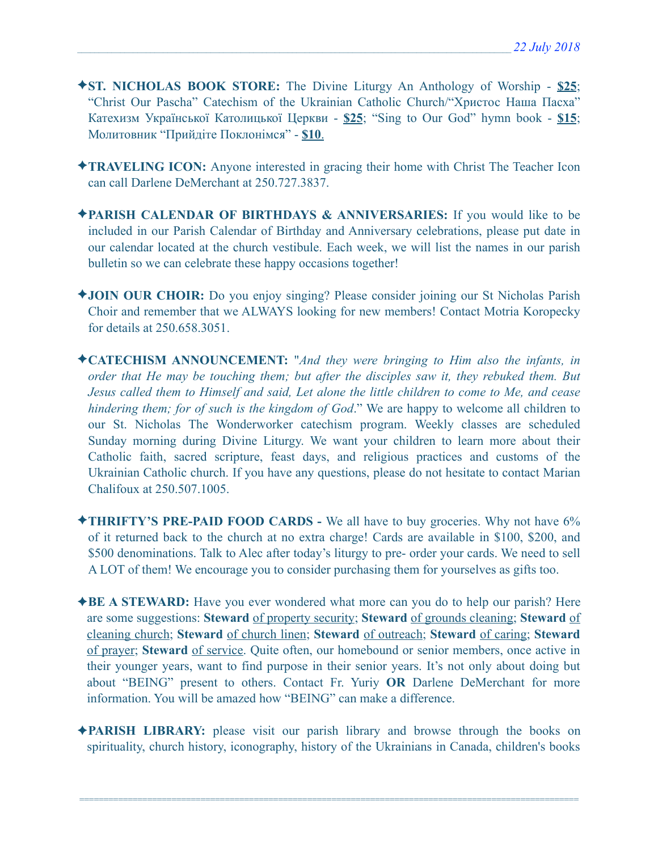- ✦**ST. NICHOLAS BOOK STORE:** The Divine Liturgy An Anthology of Worship **\$25**; "Christ Our Pascha" Catechism of the Ukrainian Catholic Church/"Христос Наша Пасха" Катехизм Української Католицької Церкви - **\$25**; "Sing to Our God" hymn book - **\$15**; Молитовник "Прийдіте Поклонімся" - **\$10**.
- ✦**TRAVELING ICON:** Anyone interested in gracing their home with Christ The Teacher Icon can call Darlene DeMerchant at 250.727.3837.
- ✦**PARISH CALENDAR OF BIRTHDAYS & ANNIVERSARIES:** If you would like to be included in our Parish Calendar of Birthday and Anniversary celebrations, please put date in our calendar located at the church vestibule. Each week, we will list the names in our parish bulletin so we can celebrate these happy occasions together!
- ✦**JOIN OUR CHOIR:** Do you enjoy singing? Please consider joining our St Nicholas Parish Choir and remember that we ALWAYS looking for new members! Contact Motria Koropecky for details at 250.658.3051.
- ✦**CATECHISM ANNOUNCEMENT:** "*And they were bringing to Him also the infants, in order that He may be touching them; but after the disciples saw it, they rebuked them. But Jesus called them to Himself and said, Let alone the little children to come to Me, and cease hindering them; for of such is the kingdom of God*." We are happy to welcome all children to our St. Nicholas The Wonderworker catechism program. Weekly classes are scheduled Sunday morning during Divine Liturgy. We want your children to learn more about their Catholic faith, sacred scripture, feast days, and religious practices and customs of the Ukrainian Catholic church. If you have any questions, please do not hesitate to contact Marian Chalifoux at 250.507.1005.
- ✦**THRIFTY'S PRE-PAID FOOD CARDS** We all have to buy groceries. Why not have 6% of it returned back to the church at no extra charge! Cards are available in \$100, \$200, and \$500 denominations. Talk to Alec after today's liturgy to pre- order your cards. We need to sell A LOT of them! We encourage you to consider purchasing them for yourselves as gifts too.
- ✦**BE A STEWARD:** Have you ever wondered what more can you do to help our parish? Here are some suggestions: **Steward** of property security; **Steward** of grounds cleaning; **Steward** of cleaning church; **Steward** of church linen; **Steward** of outreach; **Steward** of caring; **Steward** of prayer; **Steward** of service. Quite often, our homebound or senior members, once active in their younger years, want to find purpose in their senior years. It's not only about doing but about "BEING" present to others. Contact Fr. Yuriy **OR** Darlene DeMerchant for more information. You will be amazed how "BEING" can make a difference.
- ✦**PARISH LIBRARY:** please visit our parish library and browse through the books on spirituality, church history, iconography, history of the Ukrainians in Canada, children's books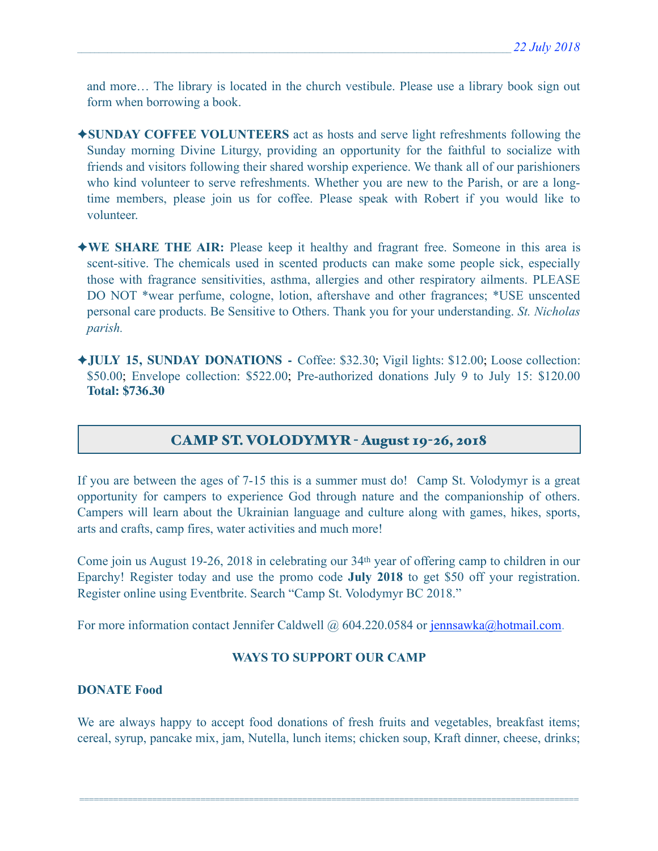and more… The library is located in the church vestibule. Please use a library book sign out form when borrowing a book.

- ✦**SUNDAY COFFEE VOLUNTEERS** act as hosts and serve light refreshments following the Sunday morning Divine Liturgy, providing an opportunity for the faithful to socialize with friends and visitors following their shared worship experience. We thank all of our parishioners who kind volunteer to serve refreshments. Whether you are new to the Parish, or are a longtime members, please join us for coffee. Please speak with Robert if you would like to volunteer.
- ✦**WE SHARE THE AIR:** Please keep it healthy and fragrant free. Someone in this area is scent-sitive. The chemicals used in scented products can make some people sick, especially those with fragrance sensitivities, asthma, allergies and other respiratory ailments. PLEASE DO NOT \*wear perfume, cologne, lotion, aftershave and other fragrances; \*USE unscented personal care products. Be Sensitive to Others. Thank you for your understanding. *St. Nicholas parish.*
- ✦**JULY 15, SUNDAY DONATIONS** Coffee: \$32.30; Vigil lights: \$12.00; Loose collection: \$50.00; Envelope collection: \$522.00; Pre-authorized donations July 9 to July 15: \$120.00 **Total: \$736.30**

## CAMP ST. VOLODYMYR - August 19-26, 2018

If you are between the ages of 7-15 this is a summer must do! Camp St. Volodymyr is a great opportunity for campers to experience God through nature and the companionship of others. Campers will learn about the Ukrainian language and culture along with games, hikes, sports, arts and crafts, camp fires, water activities and much more!

Come join us August 19-26, 2018 in celebrating our 34th year of offering camp to children in our Eparchy! Register today and use the promo code **July 2018** to get \$50 off your registration. Register online using Eventbrite. Search "Camp St. Volodymyr BC 2018."

For more information contact Jennifer Caldwell @ 604.220.0584 or [jennsawka@hotmail.com.](mailto:jennsawka@hotmail.com)

## **WAYS TO SUPPORT OUR CAMP**

### **DONATE Food**

We are always happy to accept food donations of fresh fruits and vegetables, breakfast items; cereal, syrup, pancake mix, jam, Nutella, lunch items; chicken soup, Kraft dinner, cheese, drinks;